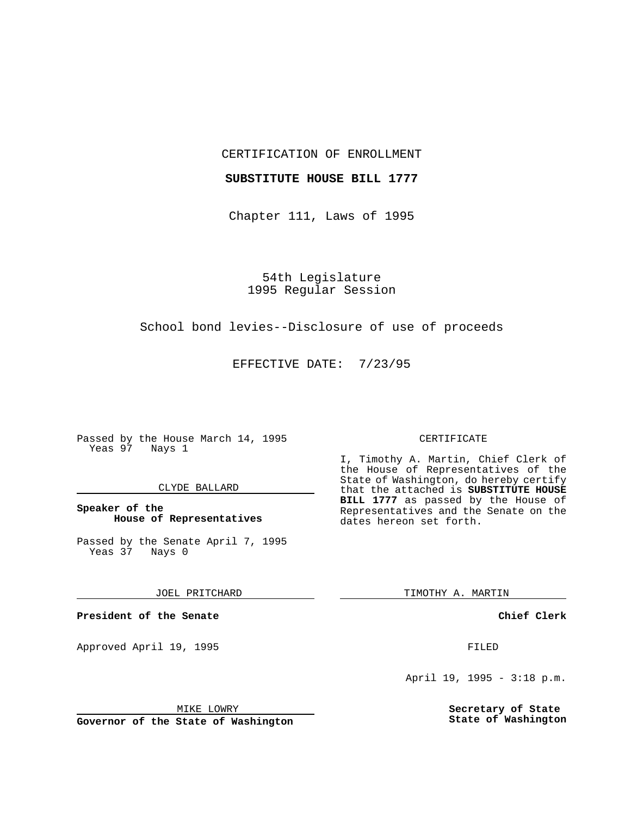### CERTIFICATION OF ENROLLMENT

## **SUBSTITUTE HOUSE BILL 1777**

Chapter 111, Laws of 1995

54th Legislature 1995 Regular Session

### School bond levies--Disclosure of use of proceeds

EFFECTIVE DATE: 7/23/95

Passed by the House March 14, 1995 Yeas 97 Nays 1

### CLYDE BALLARD

# **Speaker of the House of Representatives**

Passed by the Senate April 7, 1995<br>Yeas 37 Nays 0 Yeas 37

### JOEL PRITCHARD

**President of the Senate**

Approved April 19, 1995 FILED

#### MIKE LOWRY

**Governor of the State of Washington**

#### CERTIFICATE

I, Timothy A. Martin, Chief Clerk of the House of Representatives of the State of Washington, do hereby certify that the attached is **SUBSTITUTE HOUSE BILL 1777** as passed by the House of Representatives and the Senate on the dates hereon set forth.

TIMOTHY A. MARTIN

### **Chief Clerk**

April 19, 1995 - 3:18 p.m.

**Secretary of State State of Washington**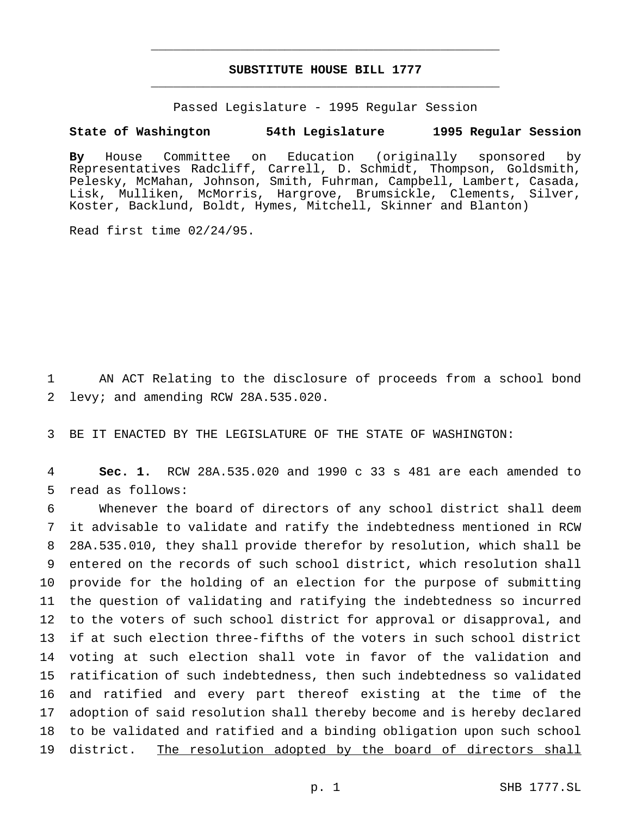# **SUBSTITUTE HOUSE BILL 1777** \_\_\_\_\_\_\_\_\_\_\_\_\_\_\_\_\_\_\_\_\_\_\_\_\_\_\_\_\_\_\_\_\_\_\_\_\_\_\_\_\_\_\_\_\_\_\_

\_\_\_\_\_\_\_\_\_\_\_\_\_\_\_\_\_\_\_\_\_\_\_\_\_\_\_\_\_\_\_\_\_\_\_\_\_\_\_\_\_\_\_\_\_\_\_

Passed Legislature - 1995 Regular Session

### **State of Washington 54th Legislature 1995 Regular Session**

**By** House Committee on Education (originally sponsored by Representatives Radcliff, Carrell, D. Schmidt, Thompson, Goldsmith, Pelesky, McMahan, Johnson, Smith, Fuhrman, Campbell, Lambert, Casada, Lisk, Mulliken, McMorris, Hargrove, Brumsickle, Clements, Silver, Koster, Backlund, Boldt, Hymes, Mitchell, Skinner and Blanton)

Read first time 02/24/95.

1 AN ACT Relating to the disclosure of proceeds from a school bond 2 levy; and amending RCW 28A.535.020.

3 BE IT ENACTED BY THE LEGISLATURE OF THE STATE OF WASHINGTON:

4 **Sec. 1.** RCW 28A.535.020 and 1990 c 33 s 481 are each amended to 5 read as follows:

 Whenever the board of directors of any school district shall deem it advisable to validate and ratify the indebtedness mentioned in RCW 28A.535.010, they shall provide therefor by resolution, which shall be entered on the records of such school district, which resolution shall provide for the holding of an election for the purpose of submitting the question of validating and ratifying the indebtedness so incurred to the voters of such school district for approval or disapproval, and if at such election three-fifths of the voters in such school district voting at such election shall vote in favor of the validation and ratification of such indebtedness, then such indebtedness so validated and ratified and every part thereof existing at the time of the adoption of said resolution shall thereby become and is hereby declared to be validated and ratified and a binding obligation upon such school 19 district. The resolution adopted by the board of directors shall